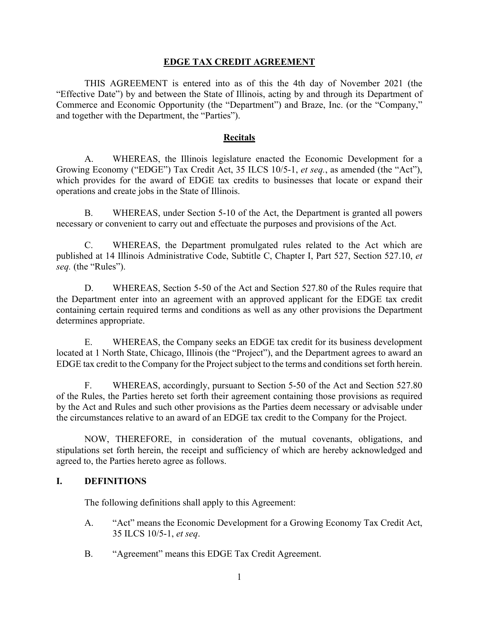#### **EDGE TAX CREDIT AGREEMENT**

 THIS AGREEMENT is entered into as of this the 4th day of November 2021 (the "Effective Date") by and between the State of Illinois, acting by and through its Department of Commerce and Economic Opportunity (the "Department") and Braze, Inc. (or the "Company," and together with the Department, the "Parties").

#### **Recitals**

A. WHEREAS, the Illinois legislature enacted the Economic Development for a Growing Economy ("EDGE") Tax Credit Act, 35 ILCS 10/5-1, *et seq.*, as amended (the "Act"), which provides for the award of EDGE tax credits to businesses that locate or expand their operations and create jobs in the State of Illinois.

 B. WHEREAS, under Section 5-10 of the Act, the Department is granted all powers necessary or convenient to carry out and effectuate the purposes and provisions of the Act.

 C. WHEREAS, the Department promulgated rules related to the Act which are published at 14 Illinois Administrative Code, Subtitle C, Chapter I, Part 527, Section 527.10, *et seq.* (the "Rules").

D. WHEREAS, Section 5-50 of the Act and Section 527.80 of the Rules require that the Department enter into an agreement with an approved applicant for the EDGE tax credit containing certain required terms and conditions as well as any other provisions the Department determines appropriate.

E. WHEREAS, the Company seeks an EDGE tax credit for its business development located at 1 North State, Chicago, Illinois (the "Project"), and the Department agrees to award an EDGE tax credit to the Company for the Project subject to the terms and conditions set forth herein.

F. WHEREAS, accordingly, pursuant to Section 5-50 of the Act and Section 527.80 of the Rules, the Parties hereto set forth their agreement containing those provisions as required by the Act and Rules and such other provisions as the Parties deem necessary or advisable under the circumstances relative to an award of an EDGE tax credit to the Company for the Project.

 NOW, THEREFORE, in consideration of the mutual covenants, obligations, and stipulations set forth herein, the receipt and sufficiency of which are hereby acknowledged and agreed to, the Parties hereto agree as follows.

#### **I. DEFINITIONS**

The following definitions shall apply to this Agreement:

- A. "Act" means the Economic Development for a Growing Economy Tax Credit Act, 35 ILCS 10/5-1, *et seq*.
- B. "Agreement" means this EDGE Tax Credit Agreement.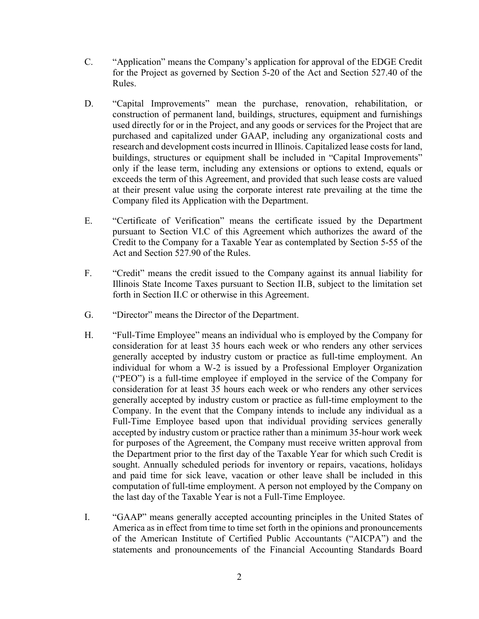- C. "Application" means the Company's application for approval of the EDGE Credit for the Project as governed by Section 5-20 of the Act and Section 527.40 of the Rules.
- D. "Capital Improvements" mean the purchase, renovation, rehabilitation, or construction of permanent land, buildings, structures, equipment and furnishings used directly for or in the Project, and any goods or services for the Project that are purchased and capitalized under GAAP, including any organizational costs and research and development costs incurred in Illinois. Capitalized lease costs for land, buildings, structures or equipment shall be included in "Capital Improvements" only if the lease term, including any extensions or options to extend, equals or exceeds the term of this Agreement, and provided that such lease costs are valued at their present value using the corporate interest rate prevailing at the time the Company filed its Application with the Department.
- E. "Certificate of Verification" means the certificate issued by the Department pursuant to Section VI.C of this Agreement which authorizes the award of the Credit to the Company for a Taxable Year as contemplated by Section 5-55 of the Act and Section 527.90 of the Rules.
- F. "Credit" means the credit issued to the Company against its annual liability for Illinois State Income Taxes pursuant to Section II.B, subject to the limitation set forth in Section II.C or otherwise in this Agreement.
- G. "Director" means the Director of the Department.
- H. "Full-Time Employee" means an individual who is employed by the Company for consideration for at least 35 hours each week or who renders any other services generally accepted by industry custom or practice as full-time employment. An individual for whom a W-2 is issued by a Professional Employer Organization ("PEO") is a full-time employee if employed in the service of the Company for consideration for at least 35 hours each week or who renders any other services generally accepted by industry custom or practice as full-time employment to the Company. In the event that the Company intends to include any individual as a Full-Time Employee based upon that individual providing services generally accepted by industry custom or practice rather than a minimum 35-hour work week for purposes of the Agreement, the Company must receive written approval from the Department prior to the first day of the Taxable Year for which such Credit is sought. Annually scheduled periods for inventory or repairs, vacations, holidays and paid time for sick leave, vacation or other leave shall be included in this computation of full-time employment. A person not employed by the Company on the last day of the Taxable Year is not a Full-Time Employee.
- I. "GAAP" means generally accepted accounting principles in the United States of America as in effect from time to time set forth in the opinions and pronouncements of the American Institute of Certified Public Accountants ("AICPA") and the statements and pronouncements of the Financial Accounting Standards Board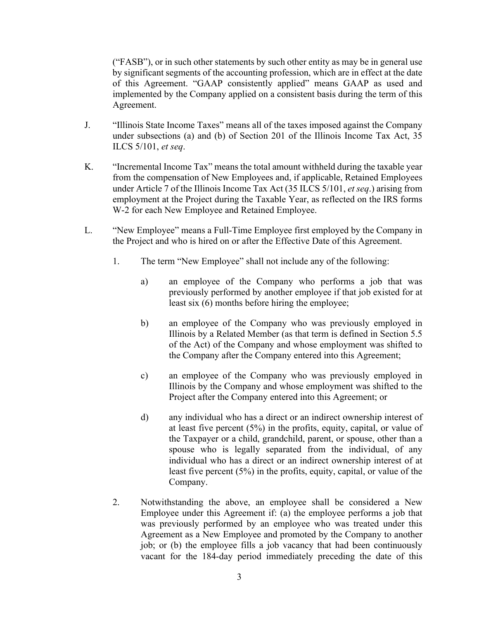("FASB"), or in such other statements by such other entity as may be in general use by significant segments of the accounting profession, which are in effect at the date of this Agreement. "GAAP consistently applied" means GAAP as used and implemented by the Company applied on a consistent basis during the term of this Agreement.

- J. "Illinois State Income Taxes" means all of the taxes imposed against the Company under subsections (a) and (b) of Section 201 of the Illinois Income Tax Act, 35 ILCS 5/101, *et seq*.
- K. "Incremental Income Tax" means the total amount withheld during the taxable year from the compensation of New Employees and, if applicable, Retained Employees under Article 7 of the Illinois Income Tax Act (35 ILCS 5/101, *et seq*.) arising from employment at the Project during the Taxable Year, as reflected on the IRS forms W-2 for each New Employee and Retained Employee.
- L. "New Employee" means a Full-Time Employee first employed by the Company in the Project and who is hired on or after the Effective Date of this Agreement.
	- 1. The term "New Employee" shall not include any of the following:
		- a) an employee of the Company who performs a job that was previously performed by another employee if that job existed for at least six (6) months before hiring the employee;
		- b) an employee of the Company who was previously employed in Illinois by a Related Member (as that term is defined in Section 5.5 of the Act) of the Company and whose employment was shifted to the Company after the Company entered into this Agreement;
		- c) an employee of the Company who was previously employed in Illinois by the Company and whose employment was shifted to the Project after the Company entered into this Agreement; or
		- d) any individual who has a direct or an indirect ownership interest of at least five percent (5%) in the profits, equity, capital, or value of the Taxpayer or a child, grandchild, parent, or spouse, other than a spouse who is legally separated from the individual, of any individual who has a direct or an indirect ownership interest of at least five percent (5%) in the profits, equity, capital, or value of the Company.
	- 2. Notwithstanding the above, an employee shall be considered a New Employee under this Agreement if: (a) the employee performs a job that was previously performed by an employee who was treated under this Agreement as a New Employee and promoted by the Company to another job; or (b) the employee fills a job vacancy that had been continuously vacant for the 184-day period immediately preceding the date of this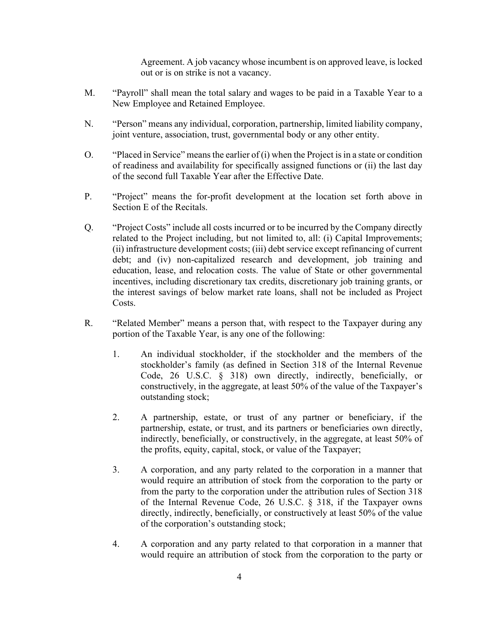Agreement. A job vacancy whose incumbent is on approved leave, is locked out or is on strike is not a vacancy.

- M. "Payroll" shall mean the total salary and wages to be paid in a Taxable Year to a New Employee and Retained Employee.
- N. "Person" means any individual, corporation, partnership, limited liability company, joint venture, association, trust, governmental body or any other entity.
- O. "Placed in Service" means the earlier of (i) when the Project is in a state or condition of readiness and availability for specifically assigned functions or (ii) the last day of the second full Taxable Year after the Effective Date.
- P. "Project" means the for-profit development at the location set forth above in Section E of the Recitals.
- Q. "Project Costs" include all costs incurred or to be incurred by the Company directly related to the Project including, but not limited to, all: (i) Capital Improvements; (ii) infrastructure development costs; (iii) debt service except refinancing of current debt; and (iv) non-capitalized research and development, job training and education, lease, and relocation costs. The value of State or other governmental incentives, including discretionary tax credits, discretionary job training grants, or the interest savings of below market rate loans, shall not be included as Project Costs.
- R. "Related Member" means a person that, with respect to the Taxpayer during any portion of the Taxable Year, is any one of the following:
	- 1. An individual stockholder, if the stockholder and the members of the stockholder's family (as defined in Section 318 of the Internal Revenue Code, 26 U.S.C. § 318) own directly, indirectly, beneficially, or constructively, in the aggregate, at least 50% of the value of the Taxpayer's outstanding stock;
	- 2. A partnership, estate, or trust of any partner or beneficiary, if the partnership, estate, or trust, and its partners or beneficiaries own directly, indirectly, beneficially, or constructively, in the aggregate, at least 50% of the profits, equity, capital, stock, or value of the Taxpayer;
	- 3. A corporation, and any party related to the corporation in a manner that would require an attribution of stock from the corporation to the party or from the party to the corporation under the attribution rules of Section 318 of the Internal Revenue Code, 26 U.S.C. § 318, if the Taxpayer owns directly, indirectly, beneficially, or constructively at least 50% of the value of the corporation's outstanding stock;
	- 4. A corporation and any party related to that corporation in a manner that would require an attribution of stock from the corporation to the party or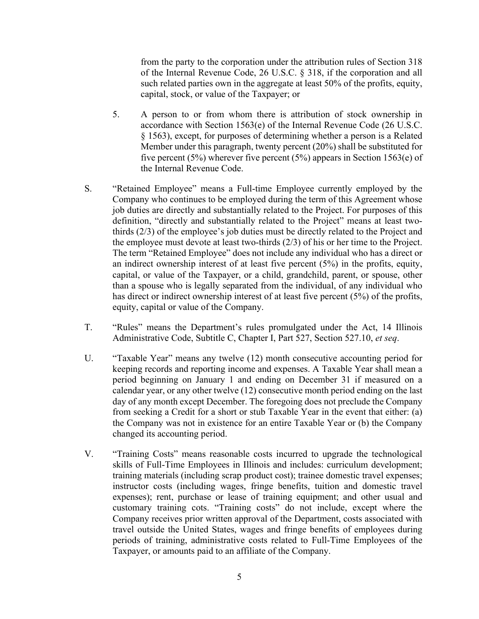from the party to the corporation under the attribution rules of Section 318 of the Internal Revenue Code, 26 U.S.C. § 318, if the corporation and all such related parties own in the aggregate at least 50% of the profits, equity, capital, stock, or value of the Taxpayer; or

- 5. A person to or from whom there is attribution of stock ownership in accordance with Section 1563(e) of the Internal Revenue Code (26 U.S.C. § 1563), except, for purposes of determining whether a person is a Related Member under this paragraph, twenty percent (20%) shall be substituted for five percent (5%) wherever five percent (5%) appears in Section 1563(e) of the Internal Revenue Code.
- S. "Retained Employee" means a Full-time Employee currently employed by the Company who continues to be employed during the term of this Agreement whose job duties are directly and substantially related to the Project. For purposes of this definition, "directly and substantially related to the Project" means at least twothirds (2/3) of the employee's job duties must be directly related to the Project and the employee must devote at least two-thirds (2/3) of his or her time to the Project. The term "Retained Employee" does not include any individual who has a direct or an indirect ownership interest of at least five percent (5%) in the profits, equity, capital, or value of the Taxpayer, or a child, grandchild, parent, or spouse, other than a spouse who is legally separated from the individual, of any individual who has direct or indirect ownership interest of at least five percent (5%) of the profits, equity, capital or value of the Company.
- T. "Rules" means the Department's rules promulgated under the Act, 14 Illinois Administrative Code, Subtitle C, Chapter I, Part 527, Section 527.10, *et seq*.
- U. "Taxable Year" means any twelve (12) month consecutive accounting period for keeping records and reporting income and expenses. A Taxable Year shall mean a period beginning on January 1 and ending on December 31 if measured on a calendar year, or any other twelve (12) consecutive month period ending on the last day of any month except December. The foregoing does not preclude the Company from seeking a Credit for a short or stub Taxable Year in the event that either: (a) the Company was not in existence for an entire Taxable Year or (b) the Company changed its accounting period.
- V. "Training Costs" means reasonable costs incurred to upgrade the technological skills of Full-Time Employees in Illinois and includes: curriculum development; training materials (including scrap product cost); trainee domestic travel expenses; instructor costs (including wages, fringe benefits, tuition and domestic travel expenses); rent, purchase or lease of training equipment; and other usual and customary training cots. "Training costs" do not include, except where the Company receives prior written approval of the Department, costs associated with travel outside the United States, wages and fringe benefits of employees during periods of training, administrative costs related to Full-Time Employees of the Taxpayer, or amounts paid to an affiliate of the Company.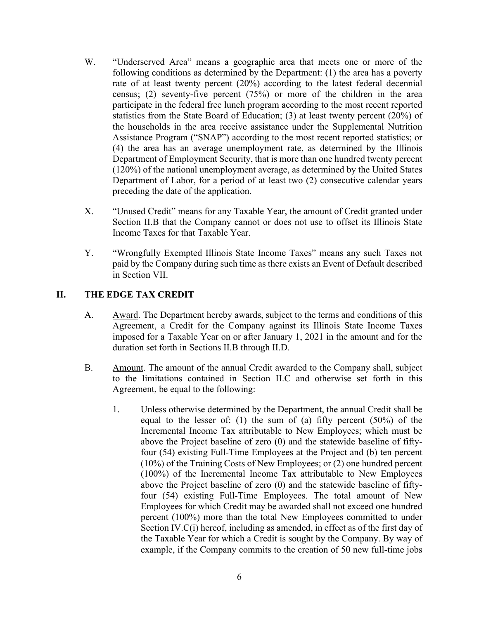- W. "Underserved Area" means a geographic area that meets one or more of the following conditions as determined by the Department: (1) the area has a poverty rate of at least twenty percent (20%) according to the latest federal decennial census; (2) seventy-five percent (75%) or more of the children in the area participate in the federal free lunch program according to the most recent reported statistics from the State Board of Education; (3) at least twenty percent (20%) of the households in the area receive assistance under the Supplemental Nutrition Assistance Program ("SNAP") according to the most recent reported statistics; or (4) the area has an average unemployment rate, as determined by the Illinois Department of Employment Security, that is more than one hundred twenty percent (120%) of the national unemployment average, as determined by the United States Department of Labor, for a period of at least two (2) consecutive calendar years preceding the date of the application.
- X. "Unused Credit" means for any Taxable Year, the amount of Credit granted under Section II.B that the Company cannot or does not use to offset its Illinois State Income Taxes for that Taxable Year.
- Y. "Wrongfully Exempted Illinois State Income Taxes" means any such Taxes not paid by the Company during such time as there exists an Event of Default described in Section VII.

#### **II. THE EDGE TAX CREDIT**

- A. Award. The Department hereby awards, subject to the terms and conditions of this Agreement, a Credit for the Company against its Illinois State Income Taxes imposed for a Taxable Year on or after January 1, 2021 in the amount and for the duration set forth in Sections II.B through II.D.
- B. Amount. The amount of the annual Credit awarded to the Company shall, subject to the limitations contained in Section II.C and otherwise set forth in this Agreement, be equal to the following:
	- 1. Unless otherwise determined by the Department, the annual Credit shall be equal to the lesser of: (1) the sum of (a) fifty percent (50%) of the Incremental Income Tax attributable to New Employees; which must be above the Project baseline of zero (0) and the statewide baseline of fiftyfour (54) existing Full-Time Employees at the Project and (b) ten percent (10%) of the Training Costs of New Employees; or (2) one hundred percent (100%) of the Incremental Income Tax attributable to New Employees above the Project baseline of zero (0) and the statewide baseline of fiftyfour (54) existing Full-Time Employees. The total amount of New Employees for which Credit may be awarded shall not exceed one hundred percent (100%) more than the total New Employees committed to under Section IV.C(i) hereof, including as amended, in effect as of the first day of the Taxable Year for which a Credit is sought by the Company. By way of example, if the Company commits to the creation of 50 new full-time jobs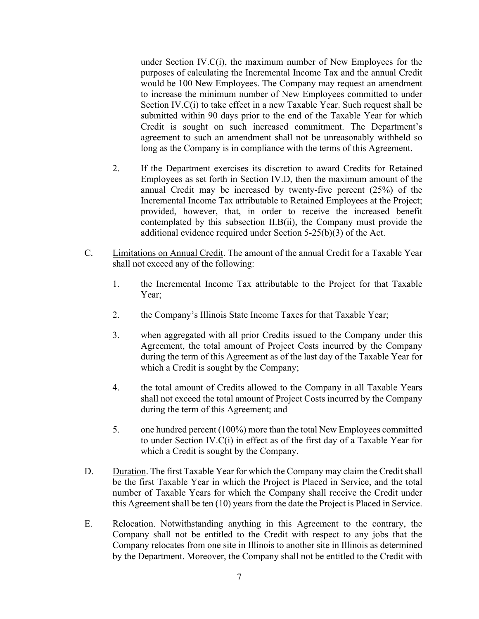under Section IV.C(i), the maximum number of New Employees for the purposes of calculating the Incremental Income Tax and the annual Credit would be 100 New Employees. The Company may request an amendment to increase the minimum number of New Employees committed to under Section IV.C(i) to take effect in a new Taxable Year. Such request shall be submitted within 90 days prior to the end of the Taxable Year for which Credit is sought on such increased commitment. The Department's agreement to such an amendment shall not be unreasonably withheld so long as the Company is in compliance with the terms of this Agreement.

- 2. If the Department exercises its discretion to award Credits for Retained Employees as set forth in Section IV.D, then the maximum amount of the annual Credit may be increased by twenty-five percent (25%) of the Incremental Income Tax attributable to Retained Employees at the Project; provided, however, that, in order to receive the increased benefit contemplated by this subsection II.B(ii), the Company must provide the additional evidence required under Section 5-25(b)(3) of the Act.
- C. Limitations on Annual Credit. The amount of the annual Credit for a Taxable Year shall not exceed any of the following:
	- 1. the Incremental Income Tax attributable to the Project for that Taxable Year;
	- 2. the Company's Illinois State Income Taxes for that Taxable Year;
	- 3. when aggregated with all prior Credits issued to the Company under this Agreement, the total amount of Project Costs incurred by the Company during the term of this Agreement as of the last day of the Taxable Year for which a Credit is sought by the Company;
	- 4. the total amount of Credits allowed to the Company in all Taxable Years shall not exceed the total amount of Project Costs incurred by the Company during the term of this Agreement; and
	- 5. one hundred percent (100%) more than the total New Employees committed to under Section IV.C(i) in effect as of the first day of a Taxable Year for which a Credit is sought by the Company.
- D. Duration. The first Taxable Year for which the Company may claim the Credit shall be the first Taxable Year in which the Project is Placed in Service, and the total number of Taxable Years for which the Company shall receive the Credit under this Agreement shall be ten (10) years from the date the Project is Placed in Service.
- E. Relocation. Notwithstanding anything in this Agreement to the contrary, the Company shall not be entitled to the Credit with respect to any jobs that the Company relocates from one site in Illinois to another site in Illinois as determined by the Department. Moreover, the Company shall not be entitled to the Credit with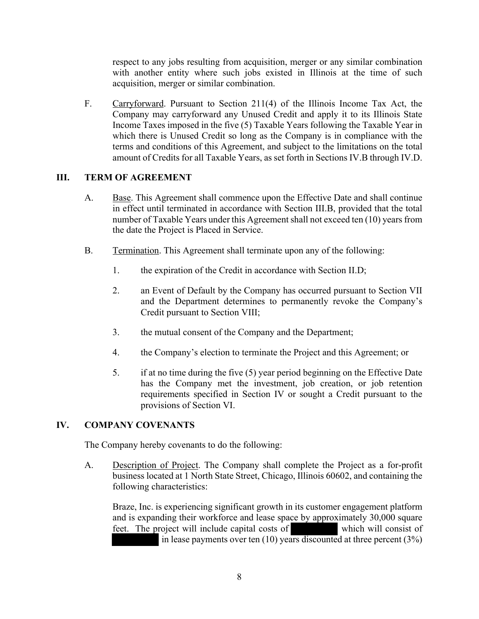respect to any jobs resulting from acquisition, merger or any similar combination with another entity where such jobs existed in Illinois at the time of such acquisition, merger or similar combination.

F. Carryforward. Pursuant to Section 211(4) of the Illinois Income Tax Act, the Company may carryforward any Unused Credit and apply it to its Illinois State Income Taxes imposed in the five (5) Taxable Years following the Taxable Year in which there is Unused Credit so long as the Company is in compliance with the terms and conditions of this Agreement, and subject to the limitations on the total amount of Credits for all Taxable Years, as set forth in Sections IV.B through IV.D.

## **III. TERM OF AGREEMENT**

- A. Base. This Agreement shall commence upon the Effective Date and shall continue in effect until terminated in accordance with Section III.B, provided that the total number of Taxable Years under this Agreement shall not exceed ten (10) years from the date the Project is Placed in Service.
- B. Termination. This Agreement shall terminate upon any of the following:
	- 1. the expiration of the Credit in accordance with Section II.D;
	- 2. an Event of Default by the Company has occurred pursuant to Section VII and the Department determines to permanently revoke the Company's Credit pursuant to Section VIII;
	- 3. the mutual consent of the Company and the Department;
	- 4. the Company's election to terminate the Project and this Agreement; or
	- 5. if at no time during the five (5) year period beginning on the Effective Date has the Company met the investment, job creation, or job retention requirements specified in Section IV or sought a Credit pursuant to the provisions of Section VI.

## **IV. COMPANY COVENANTS**

The Company hereby covenants to do the following:

A. Description of Project. The Company shall complete the Project as a for-profit business located at 1 North State Street, Chicago, Illinois 60602, and containing the following characteristics:

Braze, Inc. is experiencing significant growth in its customer engagement platform and is expanding their workforce and lease space by approximately 30,000 square feet. The project will include capital costs of which will consist of in lease payments over ten (10) years discounted at three percent (3%)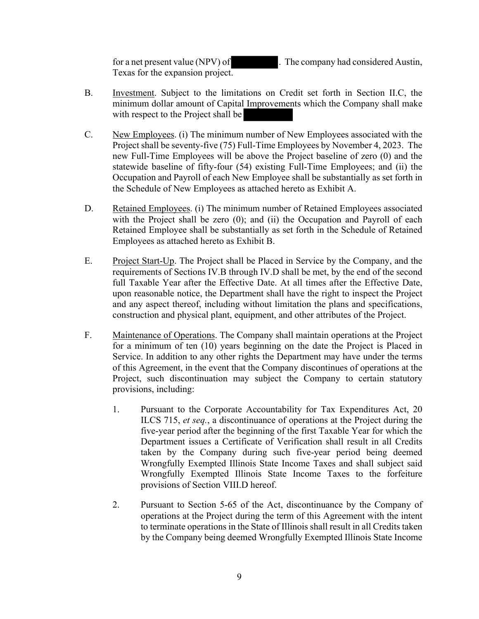for a net present value (NPV) of . The company had considered Austin, Texas for the expansion project.

- B. Investment. Subject to the limitations on Credit set forth in Section II.C, the minimum dollar amount of Capital Improvements which the Company shall make with respect to the Project shall be
- C. New Employees. (i) The minimum number of New Employees associated with the Project shall be seventy-five (75) Full-Time Employees by November 4, 2023. The new Full-Time Employees will be above the Project baseline of zero (0) and the statewide baseline of fifty-four (54) existing Full-Time Employees; and (ii) the Occupation and Payroll of each New Employee shall be substantially as set forth in the Schedule of New Employees as attached hereto as Exhibit A.
- D. Retained Employees. (i) The minimum number of Retained Employees associated with the Project shall be zero (0); and (ii) the Occupation and Payroll of each Retained Employee shall be substantially as set forth in the Schedule of Retained Employees as attached hereto as Exhibit B.
- E. Project Start-Up. The Project shall be Placed in Service by the Company, and the requirements of Sections IV.B through IV.D shall be met, by the end of the second full Taxable Year after the Effective Date. At all times after the Effective Date, upon reasonable notice, the Department shall have the right to inspect the Project and any aspect thereof, including without limitation the plans and specifications, construction and physical plant, equipment, and other attributes of the Project.
- F. Maintenance of Operations. The Company shall maintain operations at the Project for a minimum of ten (10) years beginning on the date the Project is Placed in Service. In addition to any other rights the Department may have under the terms of this Agreement, in the event that the Company discontinues of operations at the Project, such discontinuation may subject the Company to certain statutory provisions, including:
	- 1. Pursuant to the Corporate Accountability for Tax Expenditures Act, 20 ILCS 715, *et seq.*, a discontinuance of operations at the Project during the five-year period after the beginning of the first Taxable Year for which the Department issues a Certificate of Verification shall result in all Credits taken by the Company during such five-year period being deemed Wrongfully Exempted Illinois State Income Taxes and shall subject said Wrongfully Exempted Illinois State Income Taxes to the forfeiture provisions of Section VIII.D hereof.
	- 2. Pursuant to Section 5-65 of the Act, discontinuance by the Company of operations at the Project during the term of this Agreement with the intent to terminate operations in the State of Illinois shall result in all Credits taken by the Company being deemed Wrongfully Exempted Illinois State Income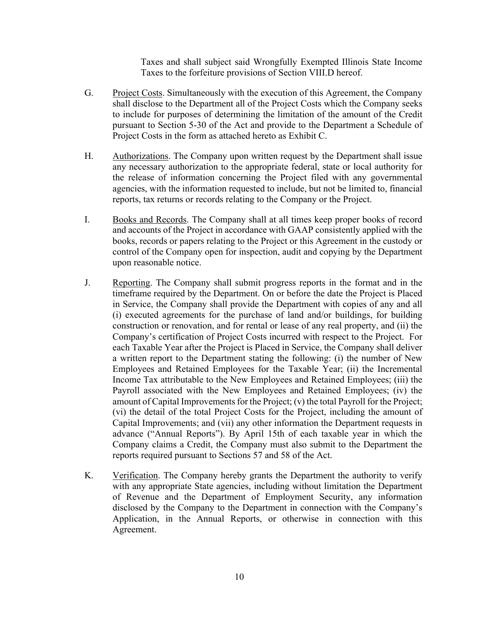Taxes and shall subject said Wrongfully Exempted Illinois State Income Taxes to the forfeiture provisions of Section VIII.D hereof.

- G. Project Costs. Simultaneously with the execution of this Agreement, the Company shall disclose to the Department all of the Project Costs which the Company seeks to include for purposes of determining the limitation of the amount of the Credit pursuant to Section 5-30 of the Act and provide to the Department a Schedule of Project Costs in the form as attached hereto as Exhibit C.
- H. Authorizations. The Company upon written request by the Department shall issue any necessary authorization to the appropriate federal, state or local authority for the release of information concerning the Project filed with any governmental agencies, with the information requested to include, but not be limited to, financial reports, tax returns or records relating to the Company or the Project.
- I. Books and Records. The Company shall at all times keep proper books of record and accounts of the Project in accordance with GAAP consistently applied with the books, records or papers relating to the Project or this Agreement in the custody or control of the Company open for inspection, audit and copying by the Department upon reasonable notice.
- J. Reporting. The Company shall submit progress reports in the format and in the timeframe required by the Department. On or before the date the Project is Placed in Service, the Company shall provide the Department with copies of any and all (i) executed agreements for the purchase of land and/or buildings, for building construction or renovation, and for rental or lease of any real property, and (ii) the Company's certification of Project Costs incurred with respect to the Project. For each Taxable Year after the Project is Placed in Service, the Company shall deliver a written report to the Department stating the following: (i) the number of New Employees and Retained Employees for the Taxable Year; (ii) the Incremental Income Tax attributable to the New Employees and Retained Employees; (iii) the Payroll associated with the New Employees and Retained Employees; (iv) the amount of Capital Improvements for the Project; (v) the total Payroll for the Project; (vi) the detail of the total Project Costs for the Project, including the amount of Capital Improvements; and (vii) any other information the Department requests in advance ("Annual Reports"). By April 15th of each taxable year in which the Company claims a Credit, the Company must also submit to the Department the reports required pursuant to Sections 57 and 58 of the Act.
- K. Verification. The Company hereby grants the Department the authority to verify with any appropriate State agencies, including without limitation the Department of Revenue and the Department of Employment Security, any information disclosed by the Company to the Department in connection with the Company's Application, in the Annual Reports, or otherwise in connection with this Agreement.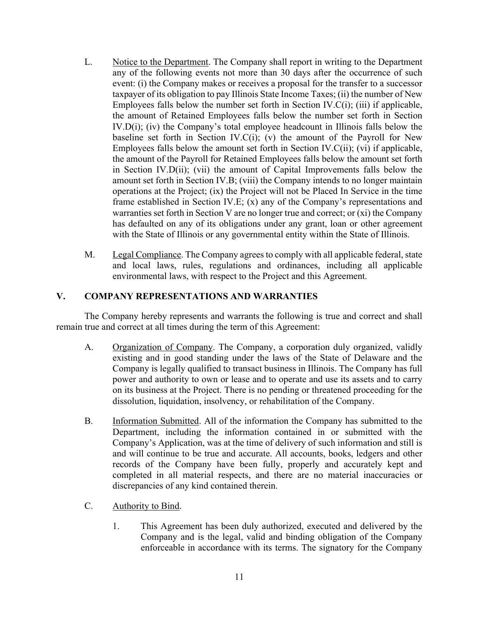- L. Notice to the Department. The Company shall report in writing to the Department any of the following events not more than 30 days after the occurrence of such event: (i) the Company makes or receives a proposal for the transfer to a successor taxpayer of its obligation to pay Illinois State Income Taxes; (ii) the number of New Employees falls below the number set forth in Section IV. $C(i)$ ; (iii) if applicable, the amount of Retained Employees falls below the number set forth in Section IV.D(i); (iv) the Company's total employee headcount in Illinois falls below the baseline set forth in Section IV. $C(i)$ ; (v) the amount of the Payroll for New Employees falls below the amount set forth in Section IV.C(ii); (vi) if applicable, the amount of the Payroll for Retained Employees falls below the amount set forth in Section IV.D(ii); (vii) the amount of Capital Improvements falls below the amount set forth in Section IV.B; (viii) the Company intends to no longer maintain operations at the Project; (ix) the Project will not be Placed In Service in the time frame established in Section IV.E; (x) any of the Company's representations and warranties set forth in Section V are no longer true and correct; or (xi) the Company has defaulted on any of its obligations under any grant, loan or other agreement with the State of Illinois or any governmental entity within the State of Illinois.
- M. Legal Compliance. The Company agrees to comply with all applicable federal, state and local laws, rules, regulations and ordinances, including all applicable environmental laws, with respect to the Project and this Agreement.

## **V. COMPANY REPRESENTATIONS AND WARRANTIES**

The Company hereby represents and warrants the following is true and correct and shall remain true and correct at all times during the term of this Agreement:

- A. Organization of Company. The Company, a corporation duly organized, validly existing and in good standing under the laws of the State of Delaware and the Company is legally qualified to transact business in Illinois. The Company has full power and authority to own or lease and to operate and use its assets and to carry on its business at the Project. There is no pending or threatened proceeding for the dissolution, liquidation, insolvency, or rehabilitation of the Company.
- B. Information Submitted. All of the information the Company has submitted to the Department, including the information contained in or submitted with the Company's Application, was at the time of delivery of such information and still is and will continue to be true and accurate. All accounts, books, ledgers and other records of the Company have been fully, properly and accurately kept and completed in all material respects, and there are no material inaccuracies or discrepancies of any kind contained therein.
- C. Authority to Bind.
	- 1. This Agreement has been duly authorized, executed and delivered by the Company and is the legal, valid and binding obligation of the Company enforceable in accordance with its terms. The signatory for the Company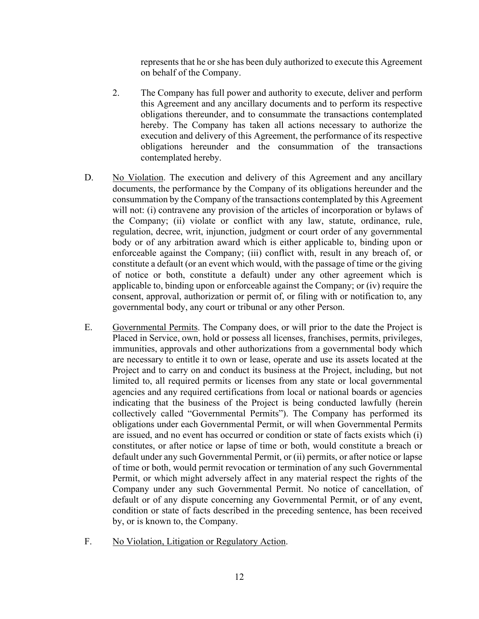represents that he or she has been duly authorized to execute this Agreement on behalf of the Company.

- 2. The Company has full power and authority to execute, deliver and perform this Agreement and any ancillary documents and to perform its respective obligations thereunder, and to consummate the transactions contemplated hereby. The Company has taken all actions necessary to authorize the execution and delivery of this Agreement, the performance of its respective obligations hereunder and the consummation of the transactions contemplated hereby.
- D. No Violation. The execution and delivery of this Agreement and any ancillary documents, the performance by the Company of its obligations hereunder and the consummation by the Company of the transactions contemplated by this Agreement will not: (i) contravene any provision of the articles of incorporation or bylaws of the Company; (ii) violate or conflict with any law, statute, ordinance, rule, regulation, decree, writ, injunction, judgment or court order of any governmental body or of any arbitration award which is either applicable to, binding upon or enforceable against the Company; (iii) conflict with, result in any breach of, or constitute a default (or an event which would, with the passage of time or the giving of notice or both, constitute a default) under any other agreement which is applicable to, binding upon or enforceable against the Company; or (iv) require the consent, approval, authorization or permit of, or filing with or notification to, any governmental body, any court or tribunal or any other Person.
- E. Governmental Permits. The Company does, or will prior to the date the Project is Placed in Service, own, hold or possess all licenses, franchises, permits, privileges, immunities, approvals and other authorizations from a governmental body which are necessary to entitle it to own or lease, operate and use its assets located at the Project and to carry on and conduct its business at the Project, including, but not limited to, all required permits or licenses from any state or local governmental agencies and any required certifications from local or national boards or agencies indicating that the business of the Project is being conducted lawfully (herein collectively called "Governmental Permits"). The Company has performed its obligations under each Governmental Permit, or will when Governmental Permits are issued, and no event has occurred or condition or state of facts exists which (i) constitutes, or after notice or lapse of time or both, would constitute a breach or default under any such Governmental Permit, or (ii) permits, or after notice or lapse of time or both, would permit revocation or termination of any such Governmental Permit, or which might adversely affect in any material respect the rights of the Company under any such Governmental Permit. No notice of cancellation, of default or of any dispute concerning any Governmental Permit, or of any event, condition or state of facts described in the preceding sentence, has been received by, or is known to, the Company.
- F. No Violation, Litigation or Regulatory Action.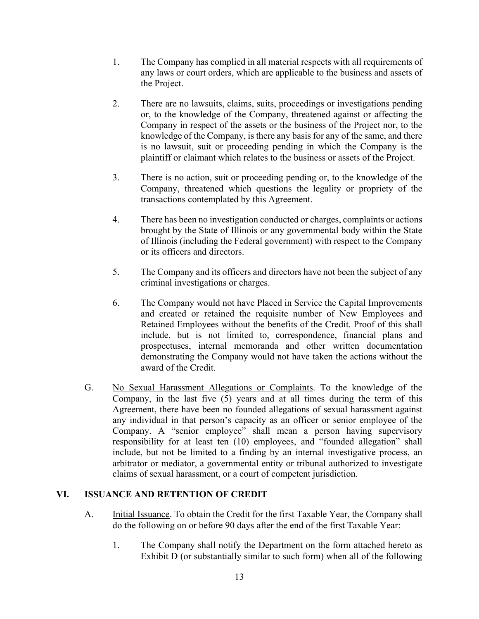- 1. The Company has complied in all material respects with all requirements of any laws or court orders, which are applicable to the business and assets of the Project.
- 2. There are no lawsuits, claims, suits, proceedings or investigations pending or, to the knowledge of the Company, threatened against or affecting the Company in respect of the assets or the business of the Project nor, to the knowledge of the Company, is there any basis for any of the same, and there is no lawsuit, suit or proceeding pending in which the Company is the plaintiff or claimant which relates to the business or assets of the Project.
- 3. There is no action, suit or proceeding pending or, to the knowledge of the Company, threatened which questions the legality or propriety of the transactions contemplated by this Agreement.
- 4. There has been no investigation conducted or charges, complaints or actions brought by the State of Illinois or any governmental body within the State of Illinois (including the Federal government) with respect to the Company or its officers and directors.
- 5. The Company and its officers and directors have not been the subject of any criminal investigations or charges.
- 6. The Company would not have Placed in Service the Capital Improvements and created or retained the requisite number of New Employees and Retained Employees without the benefits of the Credit. Proof of this shall include, but is not limited to, correspondence, financial plans and prospectuses, internal memoranda and other written documentation demonstrating the Company would not have taken the actions without the award of the Credit.
- G. No Sexual Harassment Allegations or Complaints. To the knowledge of the Company, in the last five (5) years and at all times during the term of this Agreement, there have been no founded allegations of sexual harassment against any individual in that person's capacity as an officer or senior employee of the Company. A "senior employee" shall mean a person having supervisory responsibility for at least ten (10) employees, and "founded allegation" shall include, but not be limited to a finding by an internal investigative process, an arbitrator or mediator, a governmental entity or tribunal authorized to investigate claims of sexual harassment, or a court of competent jurisdiction.

## **VI. ISSUANCE AND RETENTION OF CREDIT**

- A. **Initial Issuance.** To obtain the Credit for the first Taxable Year, the Company shall do the following on or before 90 days after the end of the first Taxable Year:
	- 1. The Company shall notify the Department on the form attached hereto as Exhibit D (or substantially similar to such form) when all of the following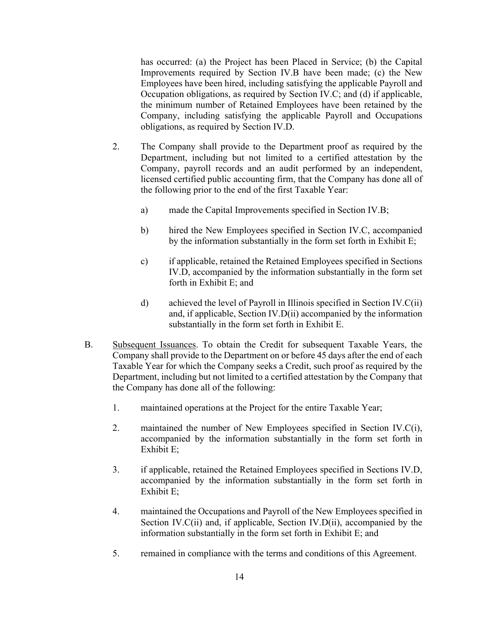has occurred: (a) the Project has been Placed in Service; (b) the Capital Improvements required by Section IV.B have been made; (c) the New Employees have been hired, including satisfying the applicable Payroll and Occupation obligations, as required by Section IV.C; and (d) if applicable, the minimum number of Retained Employees have been retained by the Company, including satisfying the applicable Payroll and Occupations obligations, as required by Section IV.D.

- 2. The Company shall provide to the Department proof as required by the Department, including but not limited to a certified attestation by the Company, payroll records and an audit performed by an independent, licensed certified public accounting firm, that the Company has done all of the following prior to the end of the first Taxable Year:
	- a) made the Capital Improvements specified in Section IV.B;
	- b) hired the New Employees specified in Section IV.C, accompanied by the information substantially in the form set forth in Exhibit E;
	- c) if applicable, retained the Retained Employees specified in Sections IV.D, accompanied by the information substantially in the form set forth in Exhibit E; and
	- d) achieved the level of Payroll in Illinois specified in Section IV.C(ii) and, if applicable, Section IV.D(ii) accompanied by the information substantially in the form set forth in Exhibit E.
- B. Subsequent Issuances. To obtain the Credit for subsequent Taxable Years, the Company shall provide to the Department on or before 45 days after the end of each Taxable Year for which the Company seeks a Credit, such proof as required by the Department, including but not limited to a certified attestation by the Company that the Company has done all of the following:
	- 1. maintained operations at the Project for the entire Taxable Year;
	- 2. maintained the number of New Employees specified in Section IV.C(i), accompanied by the information substantially in the form set forth in Exhibit E;
	- 3. if applicable, retained the Retained Employees specified in Sections IV.D, accompanied by the information substantially in the form set forth in Exhibit E;
	- 4. maintained the Occupations and Payroll of the New Employees specified in Section IV.C(ii) and, if applicable, Section IV.D(ii), accompanied by the information substantially in the form set forth in Exhibit E; and
	- 5. remained in compliance with the terms and conditions of this Agreement.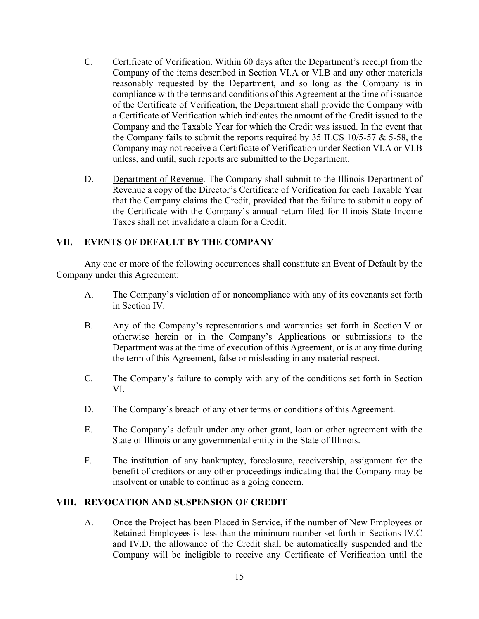- C. Certificate of Verification. Within 60 days after the Department's receipt from the Company of the items described in Section VI.A or VI.B and any other materials reasonably requested by the Department, and so long as the Company is in compliance with the terms and conditions of this Agreement at the time of issuance of the Certificate of Verification, the Department shall provide the Company with a Certificate of Verification which indicates the amount of the Credit issued to the Company and the Taxable Year for which the Credit was issued. In the event that the Company fails to submit the reports required by 35 ILCS  $10/5-57 \& 5-58$ , the Company may not receive a Certificate of Verification under Section VI.A or VI.B unless, and until, such reports are submitted to the Department.
- D. Department of Revenue. The Company shall submit to the Illinois Department of Revenue a copy of the Director's Certificate of Verification for each Taxable Year that the Company claims the Credit, provided that the failure to submit a copy of the Certificate with the Company's annual return filed for Illinois State Income Taxes shall not invalidate a claim for a Credit.

## **VII. EVENTS OF DEFAULT BY THE COMPANY**

Any one or more of the following occurrences shall constitute an Event of Default by the Company under this Agreement:

- A. The Company's violation of or noncompliance with any of its covenants set forth in Section IV.
- B. Any of the Company's representations and warranties set forth in Section V or otherwise herein or in the Company's Applications or submissions to the Department was at the time of execution of this Agreement, or is at any time during the term of this Agreement, false or misleading in any material respect.
- C. The Company's failure to comply with any of the conditions set forth in Section VI.
- D. The Company's breach of any other terms or conditions of this Agreement.
- E. The Company's default under any other grant, loan or other agreement with the State of Illinois or any governmental entity in the State of Illinois.
- F. The institution of any bankruptcy, foreclosure, receivership, assignment for the benefit of creditors or any other proceedings indicating that the Company may be insolvent or unable to continue as a going concern.

#### **VIII. REVOCATION AND SUSPENSION OF CREDIT**

A. Once the Project has been Placed in Service, if the number of New Employees or Retained Employees is less than the minimum number set forth in Sections IV.C and IV.D, the allowance of the Credit shall be automatically suspended and the Company will be ineligible to receive any Certificate of Verification until the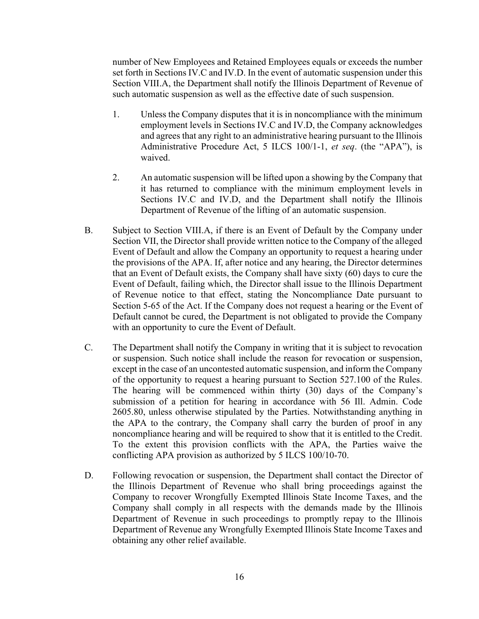number of New Employees and Retained Employees equals or exceeds the number set forth in Sections IV.C and IV.D. In the event of automatic suspension under this Section VIII.A, the Department shall notify the Illinois Department of Revenue of such automatic suspension as well as the effective date of such suspension.

- 1. Unless the Company disputes that it is in noncompliance with the minimum employment levels in Sections IV.C and IV.D, the Company acknowledges and agrees that any right to an administrative hearing pursuant to the Illinois Administrative Procedure Act, 5 ILCS 100/1-1, *et seq*. (the "APA"), is waived.
- 2. An automatic suspension will be lifted upon a showing by the Company that it has returned to compliance with the minimum employment levels in Sections IV.C and IV.D, and the Department shall notify the Illinois Department of Revenue of the lifting of an automatic suspension.
- B. Subject to Section VIII.A, if there is an Event of Default by the Company under Section VII, the Director shall provide written notice to the Company of the alleged Event of Default and allow the Company an opportunity to request a hearing under the provisions of the APA. If, after notice and any hearing, the Director determines that an Event of Default exists, the Company shall have sixty (60) days to cure the Event of Default, failing which, the Director shall issue to the Illinois Department of Revenue notice to that effect, stating the Noncompliance Date pursuant to Section 5-65 of the Act. If the Company does not request a hearing or the Event of Default cannot be cured, the Department is not obligated to provide the Company with an opportunity to cure the Event of Default.
- C. The Department shall notify the Company in writing that it is subject to revocation or suspension. Such notice shall include the reason for revocation or suspension, except in the case of an uncontested automatic suspension, and inform the Company of the opportunity to request a hearing pursuant to Section 527.100 of the Rules. The hearing will be commenced within thirty (30) days of the Company's submission of a petition for hearing in accordance with 56 Ill. Admin. Code 2605.80, unless otherwise stipulated by the Parties. Notwithstanding anything in the APA to the contrary, the Company shall carry the burden of proof in any noncompliance hearing and will be required to show that it is entitled to the Credit. To the extent this provision conflicts with the APA, the Parties waive the conflicting APA provision as authorized by 5 ILCS 100/10-70.
- D. Following revocation or suspension, the Department shall contact the Director of the Illinois Department of Revenue who shall bring proceedings against the Company to recover Wrongfully Exempted Illinois State Income Taxes, and the Company shall comply in all respects with the demands made by the Illinois Department of Revenue in such proceedings to promptly repay to the Illinois Department of Revenue any Wrongfully Exempted Illinois State Income Taxes and obtaining any other relief available.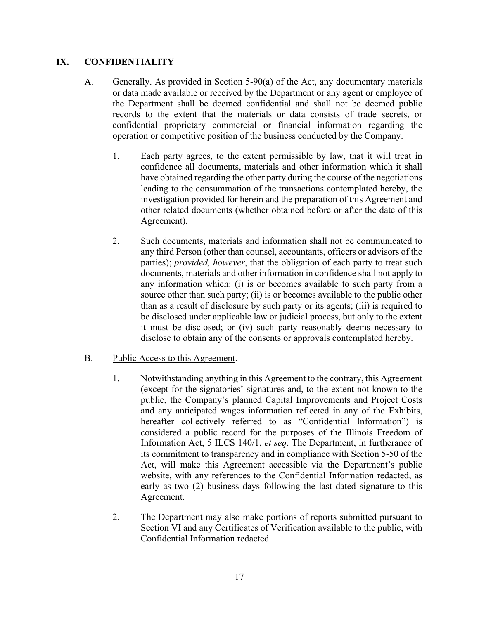#### **IX. CONFIDENTIALITY**

- A. Generally. As provided in Section 5-90(a) of the Act, any documentary materials or data made available or received by the Department or any agent or employee of the Department shall be deemed confidential and shall not be deemed public records to the extent that the materials or data consists of trade secrets, or confidential proprietary commercial or financial information regarding the operation or competitive position of the business conducted by the Company.
	- 1. Each party agrees, to the extent permissible by law, that it will treat in confidence all documents, materials and other information which it shall have obtained regarding the other party during the course of the negotiations leading to the consummation of the transactions contemplated hereby, the investigation provided for herein and the preparation of this Agreement and other related documents (whether obtained before or after the date of this Agreement).
	- 2. Such documents, materials and information shall not be communicated to any third Person (other than counsel, accountants, officers or advisors of the parties); *provided, however*, that the obligation of each party to treat such documents, materials and other information in confidence shall not apply to any information which: (i) is or becomes available to such party from a source other than such party; (ii) is or becomes available to the public other than as a result of disclosure by such party or its agents; (iii) is required to be disclosed under applicable law or judicial process, but only to the extent it must be disclosed; or (iv) such party reasonably deems necessary to disclose to obtain any of the consents or approvals contemplated hereby.
- B. Public Access to this Agreement.
	- 1. Notwithstanding anything in this Agreement to the contrary, this Agreement (except for the signatories' signatures and, to the extent not known to the public, the Company's planned Capital Improvements and Project Costs and any anticipated wages information reflected in any of the Exhibits, hereafter collectively referred to as "Confidential Information") is considered a public record for the purposes of the Illinois Freedom of Information Act, 5 ILCS 140/1, *et seq*. The Department, in furtherance of its commitment to transparency and in compliance with Section 5-50 of the Act, will make this Agreement accessible via the Department's public website, with any references to the Confidential Information redacted, as early as two (2) business days following the last dated signature to this Agreement.
	- 2. The Department may also make portions of reports submitted pursuant to Section VI and any Certificates of Verification available to the public, with Confidential Information redacted.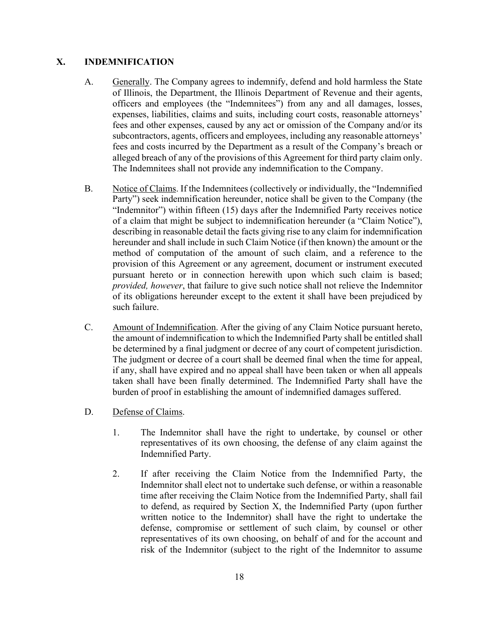#### **X. INDEMNIFICATION**

- A. Generally. The Company agrees to indemnify, defend and hold harmless the State of Illinois, the Department, the Illinois Department of Revenue and their agents, officers and employees (the "Indemnitees") from any and all damages, losses, expenses, liabilities, claims and suits, including court costs, reasonable attorneys' fees and other expenses, caused by any act or omission of the Company and/or its subcontractors, agents, officers and employees, including any reasonable attorneys' fees and costs incurred by the Department as a result of the Company's breach or alleged breach of any of the provisions of this Agreement for third party claim only. The Indemnitees shall not provide any indemnification to the Company.
- B. Notice of Claims. If the Indemnitees (collectively or individually, the "Indemnified Party") seek indemnification hereunder, notice shall be given to the Company (the "Indemnitor") within fifteen (15) days after the Indemnified Party receives notice of a claim that might be subject to indemnification hereunder (a "Claim Notice"), describing in reasonable detail the facts giving rise to any claim for indemnification hereunder and shall include in such Claim Notice (if then known) the amount or the method of computation of the amount of such claim, and a reference to the provision of this Agreement or any agreement, document or instrument executed pursuant hereto or in connection herewith upon which such claim is based; *provided, however*, that failure to give such notice shall not relieve the Indemnitor of its obligations hereunder except to the extent it shall have been prejudiced by such failure.
- C. Amount of Indemnification. After the giving of any Claim Notice pursuant hereto, the amount of indemnification to which the Indemnified Party shall be entitled shall be determined by a final judgment or decree of any court of competent jurisdiction. The judgment or decree of a court shall be deemed final when the time for appeal, if any, shall have expired and no appeal shall have been taken or when all appeals taken shall have been finally determined. The Indemnified Party shall have the burden of proof in establishing the amount of indemnified damages suffered.
- D. Defense of Claims.
	- 1. The Indemnitor shall have the right to undertake, by counsel or other representatives of its own choosing, the defense of any claim against the Indemnified Party.
	- 2. If after receiving the Claim Notice from the Indemnified Party, the Indemnitor shall elect not to undertake such defense, or within a reasonable time after receiving the Claim Notice from the Indemnified Party, shall fail to defend, as required by Section X, the Indemnified Party (upon further written notice to the Indemnitor) shall have the right to undertake the defense, compromise or settlement of such claim, by counsel or other representatives of its own choosing, on behalf of and for the account and risk of the Indemnitor (subject to the right of the Indemnitor to assume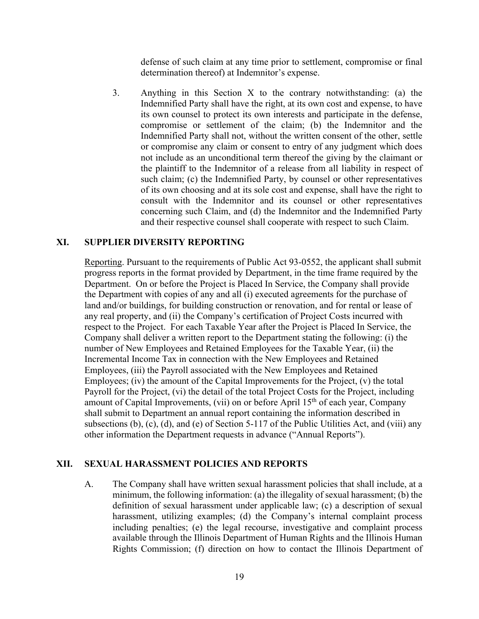defense of such claim at any time prior to settlement, compromise or final determination thereof) at Indemnitor's expense.

3. Anything in this Section X to the contrary notwithstanding: (a) the Indemnified Party shall have the right, at its own cost and expense, to have its own counsel to protect its own interests and participate in the defense, compromise or settlement of the claim; (b) the Indemnitor and the Indemnified Party shall not, without the written consent of the other, settle or compromise any claim or consent to entry of any judgment which does not include as an unconditional term thereof the giving by the claimant or the plaintiff to the Indemnitor of a release from all liability in respect of such claim; (c) the Indemnified Party, by counsel or other representatives of its own choosing and at its sole cost and expense, shall have the right to consult with the Indemnitor and its counsel or other representatives concerning such Claim, and (d) the Indemnitor and the Indemnified Party and their respective counsel shall cooperate with respect to such Claim.

#### **XI. SUPPLIER DIVERSITY REPORTING**

Reporting. Pursuant to the requirements of Public Act 93-0552, the applicant shall submit progress reports in the format provided by Department, in the time frame required by the Department. On or before the Project is Placed In Service, the Company shall provide the Department with copies of any and all (i) executed agreements for the purchase of land and/or buildings, for building construction or renovation, and for rental or lease of any real property, and (ii) the Company's certification of Project Costs incurred with respect to the Project. For each Taxable Year after the Project is Placed In Service, the Company shall deliver a written report to the Department stating the following: (i) the number of New Employees and Retained Employees for the Taxable Year, (ii) the Incremental Income Tax in connection with the New Employees and Retained Employees, (iii) the Payroll associated with the New Employees and Retained Employees; (iv) the amount of the Capital Improvements for the Project, (v) the total Payroll for the Project, (vi) the detail of the total Project Costs for the Project, including amount of Capital Improvements, (vii) on or before April 15th of each year, Company shall submit to Department an annual report containing the information described in subsections (b), (c), (d), and (e) of Section 5-117 of the Public Utilities Act, and (viii) any other information the Department requests in advance ("Annual Reports").

#### **XII. SEXUAL HARASSMENT POLICIES AND REPORTS**

A. The Company shall have written sexual harassment policies that shall include, at a minimum, the following information: (a) the illegality of sexual harassment; (b) the definition of sexual harassment under applicable law; (c) a description of sexual harassment, utilizing examples; (d) the Company's internal complaint process including penalties; (e) the legal recourse, investigative and complaint process available through the Illinois Department of Human Rights and the Illinois Human Rights Commission; (f) direction on how to contact the Illinois Department of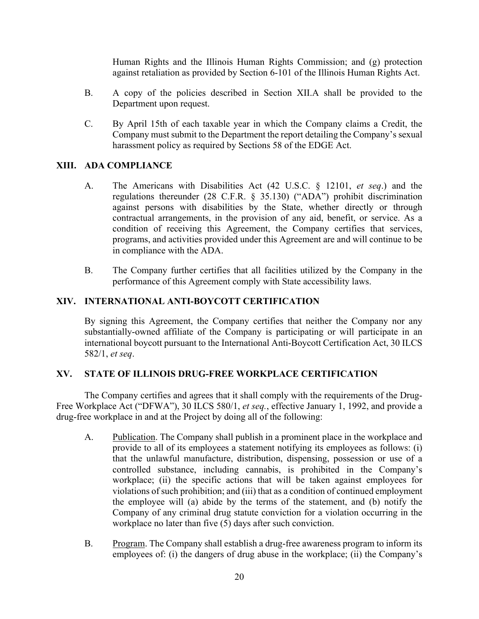Human Rights and the Illinois Human Rights Commission; and (g) protection against retaliation as provided by Section 6-101 of the Illinois Human Rights Act.

- B. A copy of the policies described in Section XII.A shall be provided to the Department upon request.
- C. By April 15th of each taxable year in which the Company claims a Credit, the Company must submit to the Department the report detailing the Company's sexual harassment policy as required by Sections 58 of the EDGE Act.

#### **XIII. ADA COMPLIANCE**

- A. The Americans with Disabilities Act (42 U.S.C. § 12101, *et seq*.) and the regulations thereunder (28 C.F.R. § 35.130) ("ADA") prohibit discrimination against persons with disabilities by the State, whether directly or through contractual arrangements, in the provision of any aid, benefit, or service. As a condition of receiving this Agreement, the Company certifies that services, programs, and activities provided under this Agreement are and will continue to be in compliance with the ADA.
- B. The Company further certifies that all facilities utilized by the Company in the performance of this Agreement comply with State accessibility laws.

#### **XIV. INTERNATIONAL ANTI-BOYCOTT CERTIFICATION**

By signing this Agreement, the Company certifies that neither the Company nor any substantially-owned affiliate of the Company is participating or will participate in an international boycott pursuant to the International Anti-Boycott Certification Act, 30 ILCS 582/1, *et seq*.

#### **XV. STATE OF ILLINOIS DRUG-FREE WORKPLACE CERTIFICATION**

The Company certifies and agrees that it shall comply with the requirements of the Drug-Free Workplace Act ("DFWA"), 30 ILCS 580/1, *et seq.*, effective January 1, 1992, and provide a drug-free workplace in and at the Project by doing all of the following:

- A. Publication. The Company shall publish in a prominent place in the workplace and provide to all of its employees a statement notifying its employees as follows: (i) that the unlawful manufacture, distribution, dispensing, possession or use of a controlled substance, including cannabis, is prohibited in the Company's workplace; (ii) the specific actions that will be taken against employees for violations of such prohibition; and (iii) that as a condition of continued employment the employee will (a) abide by the terms of the statement, and (b) notify the Company of any criminal drug statute conviction for a violation occurring in the workplace no later than five (5) days after such conviction.
- B. Program. The Company shall establish a drug-free awareness program to inform its employees of: (i) the dangers of drug abuse in the workplace; (ii) the Company's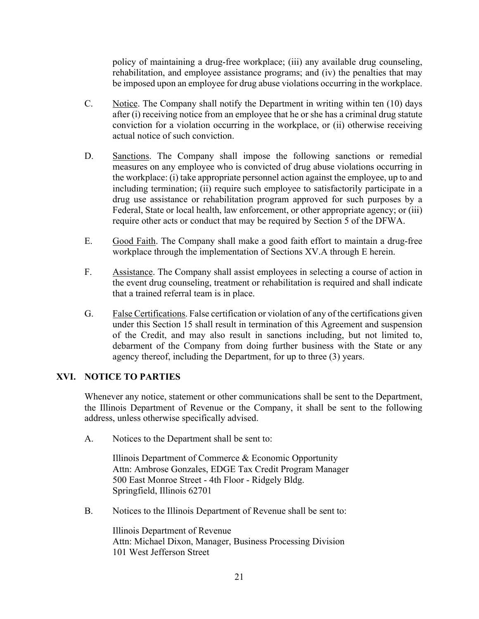policy of maintaining a drug-free workplace; (iii) any available drug counseling, rehabilitation, and employee assistance programs; and (iv) the penalties that may be imposed upon an employee for drug abuse violations occurring in the workplace.

- C. Notice. The Company shall notify the Department in writing within ten (10) days after (i) receiving notice from an employee that he or she has a criminal drug statute conviction for a violation occurring in the workplace, or (ii) otherwise receiving actual notice of such conviction.
- D. Sanctions. The Company shall impose the following sanctions or remedial measures on any employee who is convicted of drug abuse violations occurring in the workplace: (i) take appropriate personnel action against the employee, up to and including termination; (ii) require such employee to satisfactorily participate in a drug use assistance or rehabilitation program approved for such purposes by a Federal, State or local health, law enforcement, or other appropriate agency; or (iii) require other acts or conduct that may be required by Section 5 of the DFWA.
- E. Good Faith. The Company shall make a good faith effort to maintain a drug-free workplace through the implementation of Sections XV.A through E herein.
- F. Assistance. The Company shall assist employees in selecting a course of action in the event drug counseling, treatment or rehabilitation is required and shall indicate that a trained referral team is in place.
- G. False Certifications. False certification or violation of any of the certifications given under this Section 15 shall result in termination of this Agreement and suspension of the Credit, and may also result in sanctions including, but not limited to, debarment of the Company from doing further business with the State or any agency thereof, including the Department, for up to three (3) years.

## **XVI. NOTICE TO PARTIES**

Whenever any notice, statement or other communications shall be sent to the Department, the Illinois Department of Revenue or the Company, it shall be sent to the following address, unless otherwise specifically advised.

A. Notices to the Department shall be sent to:

Illinois Department of Commerce & Economic Opportunity Attn: Ambrose Gonzales, EDGE Tax Credit Program Manager 500 East Monroe Street - 4th Floor - Ridgely Bldg. Springfield, Illinois 62701

B. Notices to the Illinois Department of Revenue shall be sent to:

Illinois Department of Revenue Attn: Michael Dixon, Manager, Business Processing Division 101 West Jefferson Street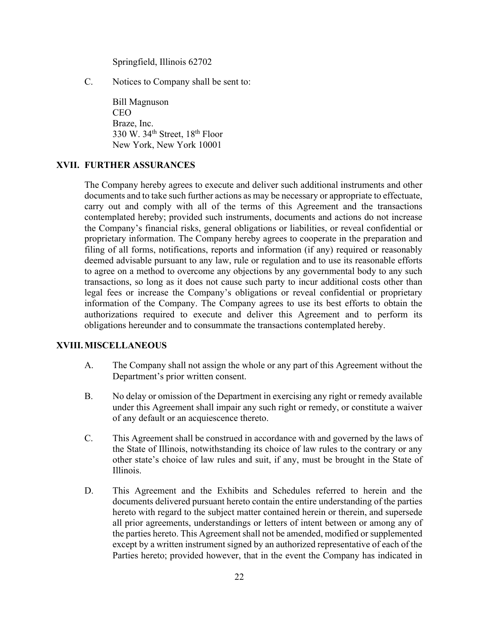Springfield, Illinois 62702

C. Notices to Company shall be sent to:

Bill Magnuson CEO Braze, Inc. 330 W. 34th Street, 18th Floor New York, New York 10001

#### **XVII. FURTHER ASSURANCES**

The Company hereby agrees to execute and deliver such additional instruments and other documents and to take such further actions as may be necessary or appropriate to effectuate, carry out and comply with all of the terms of this Agreement and the transactions contemplated hereby; provided such instruments, documents and actions do not increase the Company's financial risks, general obligations or liabilities, or reveal confidential or proprietary information. The Company hereby agrees to cooperate in the preparation and filing of all forms, notifications, reports and information (if any) required or reasonably deemed advisable pursuant to any law, rule or regulation and to use its reasonable efforts to agree on a method to overcome any objections by any governmental body to any such transactions, so long as it does not cause such party to incur additional costs other than legal fees or increase the Company's obligations or reveal confidential or proprietary information of the Company. The Company agrees to use its best efforts to obtain the authorizations required to execute and deliver this Agreement and to perform its obligations hereunder and to consummate the transactions contemplated hereby.

#### **XVIII.MISCELLANEOUS**

- A. The Company shall not assign the whole or any part of this Agreement without the Department's prior written consent.
- B. No delay or omission of the Department in exercising any right or remedy available under this Agreement shall impair any such right or remedy, or constitute a waiver of any default or an acquiescence thereto.
- C. This Agreement shall be construed in accordance with and governed by the laws of the State of Illinois, notwithstanding its choice of law rules to the contrary or any other state's choice of law rules and suit, if any, must be brought in the State of Illinois.
- D. This Agreement and the Exhibits and Schedules referred to herein and the documents delivered pursuant hereto contain the entire understanding of the parties hereto with regard to the subject matter contained herein or therein, and supersede all prior agreements, understandings or letters of intent between or among any of the parties hereto. This Agreement shall not be amended, modified or supplemented except by a written instrument signed by an authorized representative of each of the Parties hereto; provided however, that in the event the Company has indicated in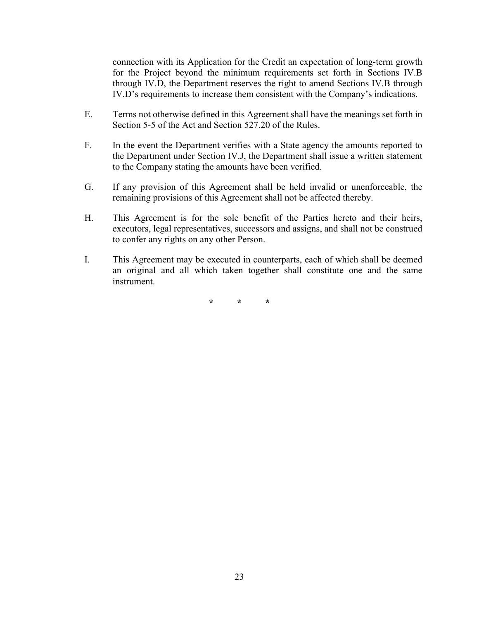connection with its Application for the Credit an expectation of long-term growth for the Project beyond the minimum requirements set forth in Sections IV.B through IV.D, the Department reserves the right to amend Sections IV.B through IV.D's requirements to increase them consistent with the Company's indications.

- E. Terms not otherwise defined in this Agreement shall have the meanings set forth in Section 5-5 of the Act and Section 527.20 of the Rules.
- F. In the event the Department verifies with a State agency the amounts reported to the Department under Section IV.J, the Department shall issue a written statement to the Company stating the amounts have been verified.
- G. If any provision of this Agreement shall be held invalid or unenforceable, the remaining provisions of this Agreement shall not be affected thereby.
- H. This Agreement is for the sole benefit of the Parties hereto and their heirs, executors, legal representatives, successors and assigns, and shall not be construed to confer any rights on any other Person.
- I. This Agreement may be executed in counterparts, each of which shall be deemed an original and all which taken together shall constitute one and the same instrument.

**\* \* \***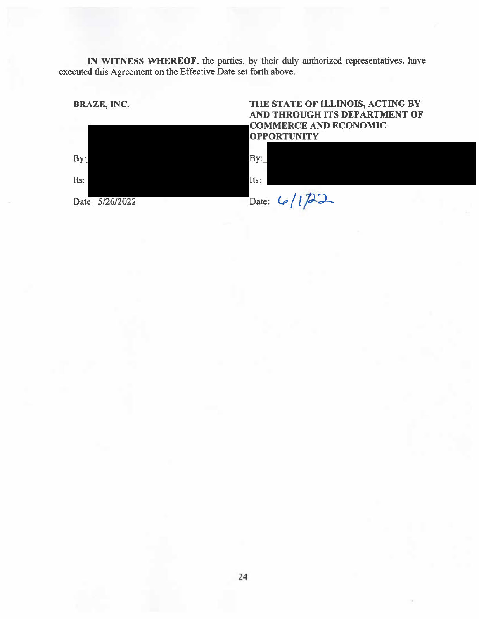IN WITNESS WHEREOF, the parties, by their duly authorized representatives, have executed this Agreement on the Effective Date set forth above.



 $By:$ 

Its:

## THE STATE OF ILLINOIS, ACTING BY AND THROUGH ITS DEPARTMENT OF **COMMERCE AND ECONOMIC OPPORTUNITY**



Date: 5/26/2022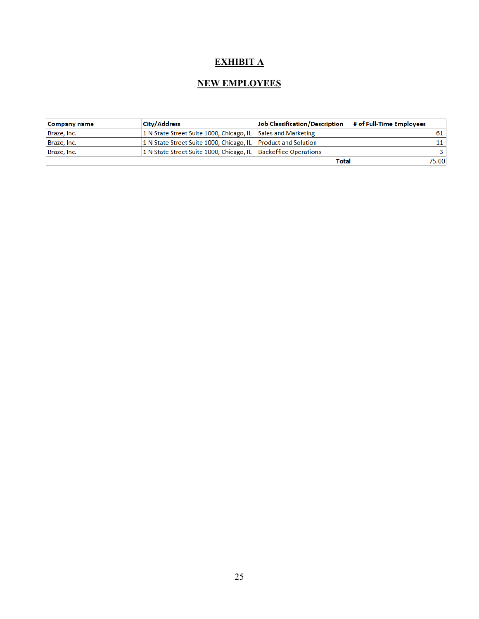# **EXHIBIT A**

## **NEW EMPLOYEES**

| Company name | <b>City/Address</b>                                            | Job Classification/Description | # of Full-Time Employees |
|--------------|----------------------------------------------------------------|--------------------------------|--------------------------|
| Braze, Inc.  | 1 N State Street Suite 1000, Chicago, IL Sales and Marketing   |                                |                          |
| Braze, Inc.  | 1 N State Street Suite 1000, Chicago, IL Product and Solution  |                                | 11 I                     |
| Braze, Inc.  | 1 N State Street Suite 1000, Chicago, IL Backoffice Operations |                                |                          |
|              |                                                                | Total                          | 75.00                    |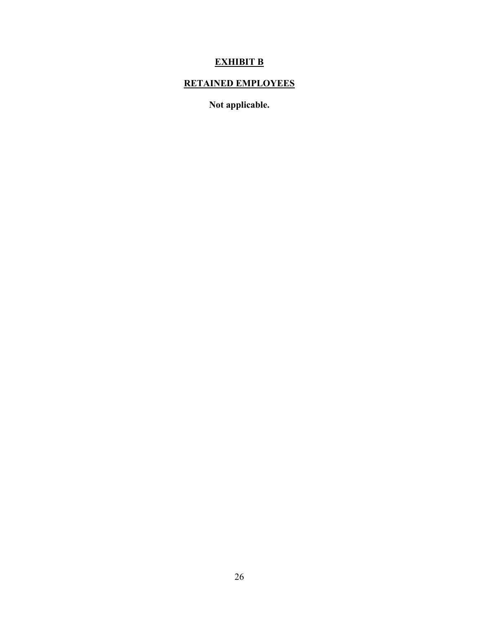# **EXHIBIT B**

# **RETAINED EMPLOYEES**

**Not applicable.**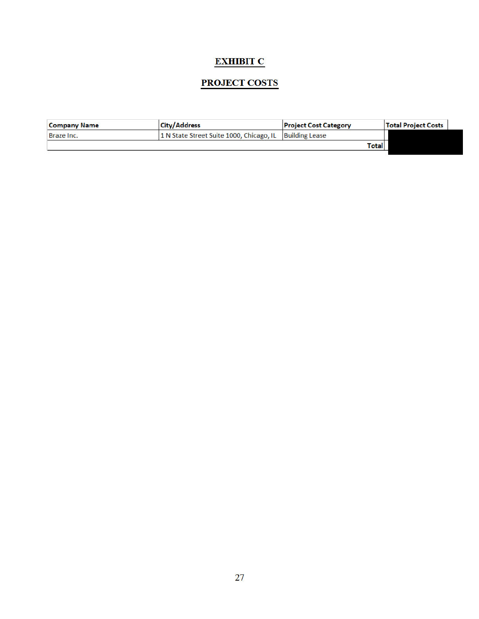## **EXHIBIT C**

## **PROJECT COSTS**

| <b>Company Name</b> | <b>City/Address</b>                                     | <b>Project Cost Category</b> | <b>Total Project Costs</b> |
|---------------------|---------------------------------------------------------|------------------------------|----------------------------|
| Braze Inc.          | 1 N State Street Suite 1000, Chicago, IL Building Lease |                              |                            |
|                     |                                                         |                              | <b>Total</b>               |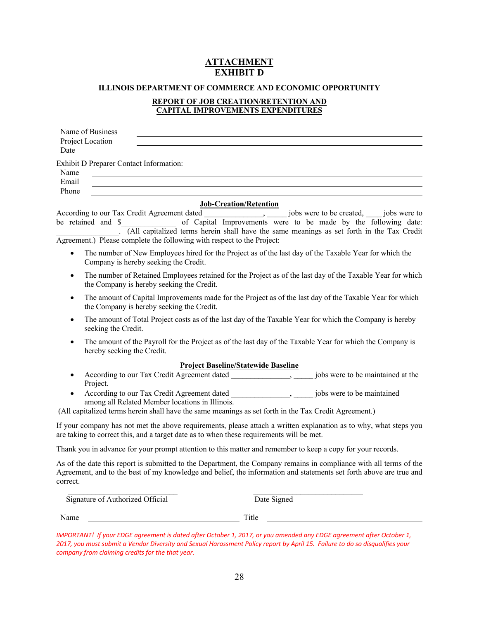## **ATTACHMENT EXHIBIT D**

#### **ILLINOIS DEPARTMENT OF COMMERCE AND ECONOMIC OPPORTUNITY**

#### **REPORT OF JOB CREATION/RETENTION AND CAPITAL IMPROVEMENTS EXPENDITURES**

| Name of Business                                                                         |                                                                                                                                                                                                                                               |
|------------------------------------------------------------------------------------------|-----------------------------------------------------------------------------------------------------------------------------------------------------------------------------------------------------------------------------------------------|
| Project Location                                                                         |                                                                                                                                                                                                                                               |
| Date                                                                                     |                                                                                                                                                                                                                                               |
| Exhibit D Preparer Contact Information:                                                  |                                                                                                                                                                                                                                               |
| Name                                                                                     |                                                                                                                                                                                                                                               |
| Email                                                                                    |                                                                                                                                                                                                                                               |
| Phone                                                                                    |                                                                                                                                                                                                                                               |
| According to our Tax Credit Agreement dated<br>be retained and \$                        | <b>Job-Creation/Retention</b><br>jobs were to be created, _____ jobs were to<br>of Capital Improvements were to be made by the following date:<br>. (All capitalized terms herein shall have the same meanings as set forth in the Tax Credit |
| Agreement.) Please complete the following with respect to the Project:                   |                                                                                                                                                                                                                                               |
| $\bullet$<br>Company is hereby seeking the Credit.                                       | The number of New Employees hired for the Project as of the last day of the Taxable Year for which the                                                                                                                                        |
| $\bullet$<br>the Company is hereby seeking the Credit.                                   | The number of Retained Employees retained for the Project as of the last day of the Taxable Year for which                                                                                                                                    |
| $\bullet$<br>the Company is hereby seeking the Credit.                                   | The amount of Capital Improvements made for the Project as of the last day of the Taxable Year for which                                                                                                                                      |
| $\bullet$<br>seeking the Credit.                                                         | The amount of Total Project costs as of the last day of the Taxable Year for which the Company is hereby                                                                                                                                      |
| $\bullet$<br>hereby seeking the Credit.                                                  | The amount of the Payroll for the Project as of the last day of the Taxable Year for which the Company is                                                                                                                                     |
|                                                                                          | <b>Project Baseline/Statewide Baseline</b>                                                                                                                                                                                                    |
| Project.                                                                                 | jobs were to be maintained at the                                                                                                                                                                                                             |
| ٠<br>among all Related Member locations in Illinois.                                     | jobs were to be maintained                                                                                                                                                                                                                    |
|                                                                                          | (All capitalized terms herein shall have the same meanings as set forth in the Tax Credit Agreement.)                                                                                                                                         |
| are taking to correct this, and a target date as to when these requirements will be met. | If your company has not met the above requirements, please attach a written explanation as to why, what steps you                                                                                                                             |
|                                                                                          | Thank you in advance for your prompt attention to this matter and remember to keep a copy for your records.                                                                                                                                   |
| correct.                                                                                 | As of the date this report is submitted to the Department, the Company remains in compliance with all terms of the<br>Agreement, and to the best of my knowledge and belief, the information and statements set forth above are true and      |
| Signature of Authorized Official                                                         | Date Signed                                                                                                                                                                                                                                   |
| Name                                                                                     | Title                                                                                                                                                                                                                                         |

*IMPORTANT! If your EDGE agreement is dated after October 1, 2017, or you amended any EDGE agreement after October 1, 2017, you must submit a Vendor Diversity and Sexual Harassment Policy report by April 15. Failure to do so disqualifies your company from claiming credits for the that year*.